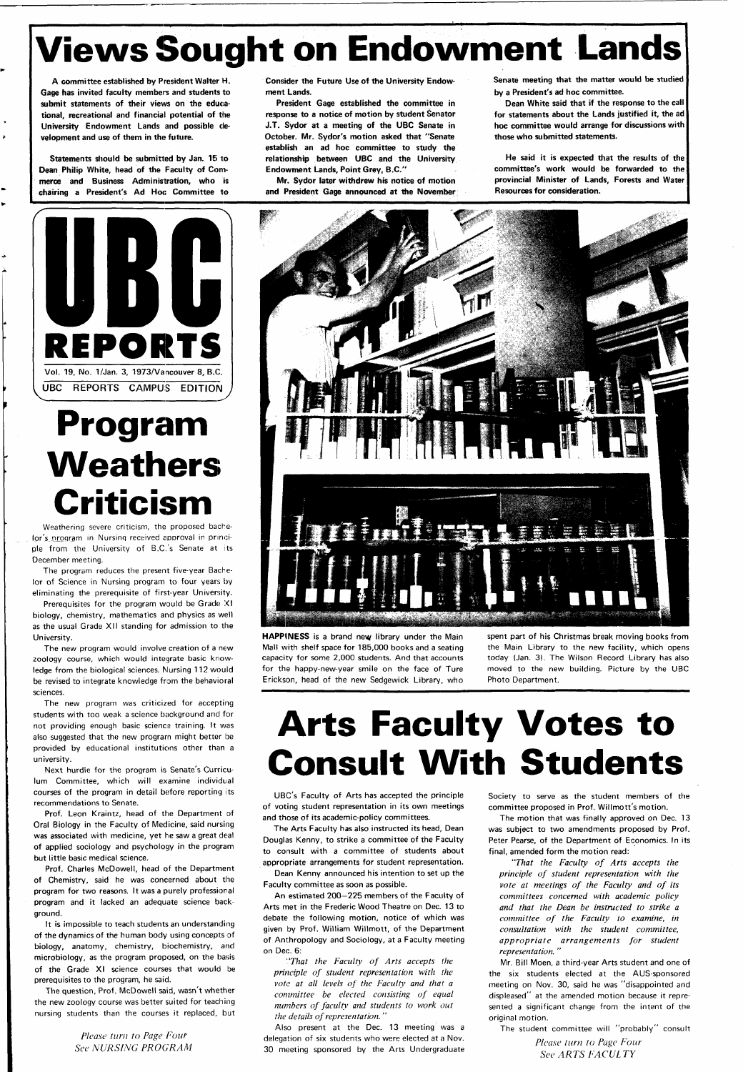# **Views Sought on Endowment Lands**

**A committee established by President Walter H. Gage has invited faculty members and students to submit statements of their views on the educational, recreational and financial potential of the University Endowment Lands and possible development and use of them in the future.** 

**Statements should be submitted by Jan. 15 to Dean Philip White, head of the Faculty of Commerce and Business Administration, who is chairing a President's Ad Hoc Committee to**  **Consider the Future Use of the University Endowment Lands.** 

**President Gage established the committee in response to a notice of motion by student Senator J.T. Sydor at a meeting of the UBC Senate in October. Mr. Sydor's motion asked that "Senate establish an ad hoc committee to study the relationship between UBC and the University Endowment Lands, Point Grey, B.C."** 

**Mr. Sydor later withdrew his notice of motion and President Gage announced at the November** 

**Senate meeting that the matter would be studied by a President's ad hoc committee.** 

**Dean White said that if the response to the call for statements about the Lands justified it, the ad hoc committee would arrange for discussions with those who submitted statements.** 

**He said it is expected that the results of the committee's work would be forwarded to the provincial Minister of Lands, Forests and Water Resources for consideration.** 





# **Program Weathers Criticism**

Weathering severe criticism, the proposed bachelor's program in Nursing received approval in principle from the University of B.C.'s Senate at its December meeting.

The program reduces the present five-year Bachelor of Science in Nursing program to four years by eliminating the prerequisite of first-year University.

Prerequisites for the program would be Grade XI biology, chemistry, mathematics and physics as well as the usual Grade XII standing for admission to the University.

The new program would involve creation of a new zoology course, which would integrate basic knowledge from the biological sciences. Nursing 112 would be revised to integrate knowledge from the behavioral sciences.

The new program was criticized for accepting students with too weak a science background and for not providing enough basic science training. It was also suggested that the new program might better be provided by educational institutions other than a university.

Next hurdle for the program is Senate's Curriculum Committee, which will examine individual courses of the program in detail before reporting its recommendations to Senate.

Prof. Leon Kraintz, head of the Department of Oral Biology in the Faculty of Medicine, said nursing associated with medicine, yet he saw a great deal of applied sociology and psychology in the program but little basic medical science.

Prof. Charles McDowell, head of the Department of Chemistry, said he was concerned about the program for two reasons. It was a purely professional program and it lacked an adequate science background.

It is impossible to teach students an understanding of the dynamics of the human body using concepts of biology, anatomy, chemistry, biochemistry, and microbiology, as the program proposed, on the basis of the Grade XI science courses that would be prerequisites to the program, he said.

The question, Prof. McDowell said, wasn't whether the new zoology course was better suited for teaching nursing students than the courses it replaced, but

> *Please turn to Page Four See NURSING PROGRAM*

**HAPPINESS** is a brand new library under the Main Mall with shelf space for 185,000 books and a seating capacity for some 2,000 students. And that accounts for the happy-new-year smile on the face of Ture Erickson, head of the new Sedgewick Library, who

spent part of his Christmas break moving books from the Main Library to the new facility, which opens today (Jan. 3). The Wilson Record Library has also moved to the new building. Picture by the UBC Photo Department.

# **Arts Faculty Votes to Consult With Students**

UBC's Faculty of Arts has accepted the principle of voting student representation in its own meetings and those of its academic-policy committees.

The Arts Faculty has also instructed its head. Dean

Douglas Kenny, to strike a committee of the Faculty to consult with a committee of students about appropriate arrangements for student representation.

Dean Kenny announced his intention to set up the Faculty committee as soon as possible.

An estimated 200—225 members of the Faculty of Arts met in the Frederic Wood Theatre on Dec. 13 to debate the following motion, notice of which was given by Prof. William Willmott, of the Department of Anthropology and Sociology, at a Faculty meeting on Dec. 6:

*"That the Faculty of Arts accepts the principle of student representation with the vote at all levels of the Faculty and that a committee be elected consisting of equal numbers of faculty and students to work out the details of representation. "* 

Also present at the Dec. 13 meeting was a delegation of six students who were elected at a Nov. 30 meeting sponsored by the Arts Undergraduate

Society to serve as the student members of the committee proposed in Prof. Willmott's motion.

The motion that was finally approved on Dec. 13 was subject to two amendments proposed by Prof.

Peter Pearse, of the Department of Economics. In its final, amended form the motion read:

*"That the Faculty of Arts accepts the principle of student representation with the vote at meetings of the Faculty and of its committees concerned with academic policy and that the Dean be instructed to strike a committee of the Faculty to examine, in consultation with the student committee, appropriate arrangements for student representation. "* 

Mr. Bill Moen, a third-year Arts student and one of the six students elected at the AUS-sponsored meeting on Nov. 30, said he was "disappointed and displeased" at the amended motion because it represented a significant change from the intent of the original motion.

The student committee will "probably" consult

*Please turn to Page Four See ARTS FACULTY*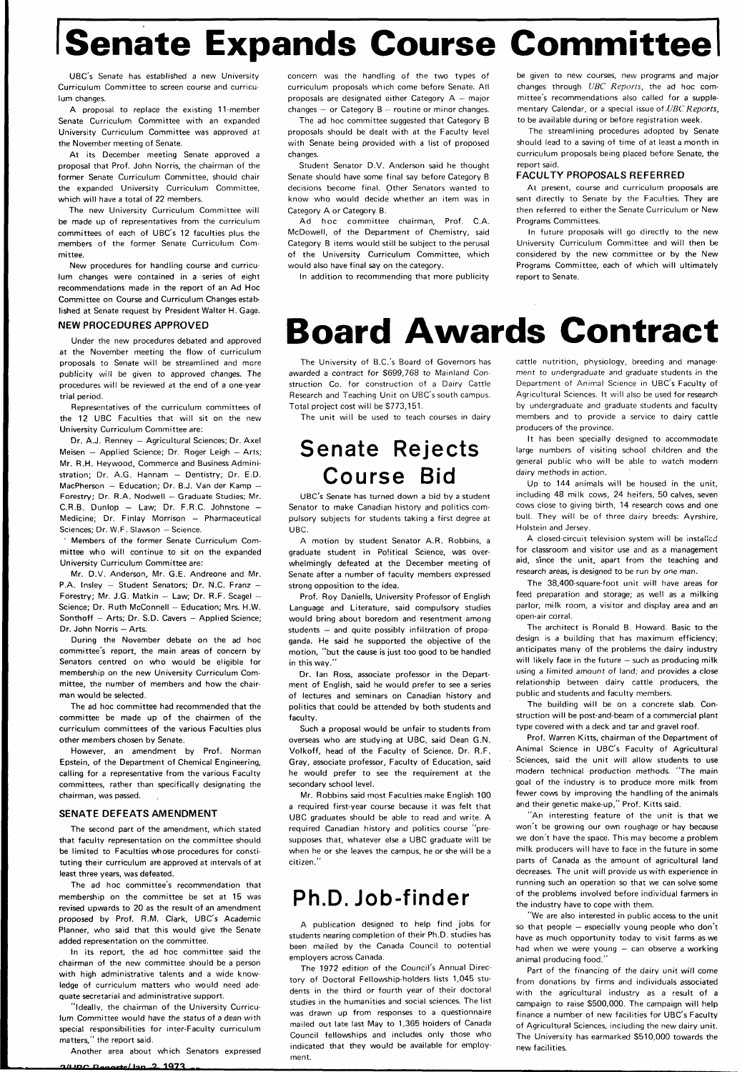# **ISenate Expands Course Committee**

UBC's Senate has established a new University Curriculum Committee to screen course and curriculum changes.

A proposal to replace the existing 11-member Senate Curriculum Committee with an expanded University Curriculum Committee was approved at the November meeting of Senate.

At its December meeting Senate approved a proposal that Prof. John Norris, the chairman of the former Senate Curriculum Committee, should chair the expanded University Curriculum Committee, which will have a total of 22 members.

The new University Curriculum Committee will be made up of representatives from the curriculum committees of each of UBC's 12 faculties plus the members of the former Senate Curriculum Committee.

New procedures for handling course and curriculum changes were contained in a series of eight recommendations made in the report of an Ad Hoc Committee on Course and Curriculum Changes established at Senate request by President Walter H. Gage.

Members of the former Senate Curriculum Committee who will continue to sit on the expanded University Curriculum Committee are:

Mr. D.V. Anderson, Mr. G.E. Andreone and Mr. P.A. Insley — Student Senators; Dr. N.C. Franz — Forestry; Mr. J.G. Matkin — Law; Dr. R.F. Scagel — Science; Dr. Ruth McConnell — Education; Mrs. H.W. Sonthoff — Arts; Dr. S.D. Cavers — Applied Science; Dr. John Norris - Arts.

#### NEW PROCEDURES APPROVED

Under the new procedures debated and approved at the November meeting the flow of curriculum proposals to Senate will be streamlined and more publicity will be given to approved changes. The procedures will be reviewed at the end of a one-year trial period.

Representatives of the curriculum committees of the 12 UBC Faculties that will sit on the new University Curriculum Committee are:

Dr. A.J. Renney — Agricultural Sciences; Dr. Axel Meisen — Applied Science; Dr. Roger Leigh — Arts; Mr. R.H. Heywood, Commerce and Business Administration; Dr. A.G. Hannam — Dentistry; Dr. E.D. MacPherson  $-$  Education; Dr. B.J. Van der Kamp  $-$ Forestry; Dr. R.A. Nodwell — Graduate Studies; Mr.  $C.R.B.$  Dunlop  $-$  Law; Dr. F.R.C. Johnstone  $-$ Medicine; Dr. Finlay Morrison — Pharmaceutical Sciences; Dr. W.F. Slawson — Science.

concern was the handling of the two types of curriculum proposals which come before Senate. All proposals are designated either Category A — major changes  $-$  or Category  $B -$  routine or minor changes.

During the November debate on the ad hoc committee's report, the main areas of concern by Senators centred on who would be eligible for membership on the new University Curriculum Committee, the number of members and how the chairman would be selected.

Ad hoc committee chairman, Prof. C.A. McDowell, of the Department of Chemistry, said Category B items would still be subject to the perusal of the University Curriculum Committee, which would also have final say on the category.

The ad hoc committee had recommended that the committee be made up of the chairmen of the curriculum committees of the various Faculties plus other members chosen by Senate.

However, an amendment by Prof. Norman Epstein, of the Department of Chemical Engineering, calling for a representative from the various Faculty committees, rather than specifically designating the chairman, was passed.

#### SENATE DEFEATS AMENDMENT

The second part of the amendment, which stated

that faculty representation on the committee should be limited to Faculties whose procedures for constituting their curriculum are approved at intervals of at least three years, was defeated.

The ad hoc committee's recommendation that membership on the committee be set at 15 was revised upwards to 20 as the result of an amendment proposed by Prof. R.M. Clark, UBC's Academic Planner, who said that this would give the Senate added representation on the committee.

In its report, the ad hoc committee said the chairman of the new committee should be a person with high administrative talents and a wide knowledge of curriculum matters who would need adequate secretarial and administrative support.

"ideally, the chairman of the University Curriculum Committee would have the status of a dean with special responsibilities for inter-Faculty curriculum matters," the report said.

Another area about which Senators expressed

**o/nr.^ . r, ..-/l... , 1 1Q7 T** 

The ad hoc committee suggested that Category B proposals should be dealt with at the Faculty level with Senate being provided with a list of proposed changes.

Student Senator D.V. Anderson said he thought Senate should have some final say before Category B decisions become final. Other Senators wanted to know who would decide whether an item was in Category A or Category B.

In addition to recommending that more publicity

be given to new courses, new programs and major changes through UBC Reports, the ad hoc committee's recommendations also called for a supplementary Calendar, or a special issue of UBC Reports, to be available during or before registration week.

The streamlining procedures adopted by Senate should lead to a saving of time of at least a month in curriculum proposals being placed before Senate, the report said.

#### FACULTY PROPOSALS REFERRED

At present, course and curriculum proposals are sent directly to Senate by the Faculties. They are then referred to either the Senate Curriculum or New Programs Committees.

In future proposals will go directly to the new University Curriculum Committee and will then be considered by the new committee or by the New Programs Committee, each of which will ultimately report to Senate.

## **Board Awards Contract**

The University of B.C.'s Board of Governors has awarded a contract for \$699,768 to Mainland Construction Co. for construction of a Dairy Cattle Research and Teaching Unit on UBC's south campus. Total project cost will be \$773,151.

The unit will be used to teach courses in dairy

## **Senate Rejects Course Bid**

UBC's Senate has turned down a bid by a student Senator to make Canadian history and politics compulsory subjects for students taking a first degree at UBC.

A motion by student Senator A.R. Robbins, a graduate student in Political Science, was overwhelmingly defeated at the December meeting of Senate after a number of faculty members expressed strong opposition to the idea.

Prof. Roy Daniells, University Professor of English Language and Literature, said compulsory studies would bring about boredom and resentment among students — and quite possibly infiltration of propaganda. He said he supported the objective of the motion, "but the cause is just too good to be handled in this way."

Dr. Ian Ross, associate professor in the Department of English, said he would prefer to see a series of lectures and seminars on Canadian history and politics that could be attended by both students and faculty.

Such a proposal would be unfair to students from overseas who are studying at UBC, said Dean G.N. Volkoff, head of the Faculty of Science. Dr. R.F. Gray, associate professor. Faculty of Education, said he would prefer to see the requirement at the secondary school level.

Mr. Robbins said most Faculties make English 100 a required first-year course because it was felt that UBC graduates should be able to read and write. A required Canadian history and politics course "presupposes that, whatever else a UBC graduate will be when he or she leaves the campus, he or she will be a citizen."

## **Ph.D. Job-finder**

A publication designed to help find jobs for students nearing completion of their Ph.D. studies has been mailed by the Canada Council to potential employers across Canada.

The 1972 edition of the Council's Annual Directory of Doctoral Fellowship-holders lists 1,045 students in the third or fourth year of their doctoral studies in the humanities and social sciences. The list was drawn up from responses to a questionnaire mailed out late last May to 1,365 holders of Canada Council fellowships and includes only those who indicated that they would be available for employment.

cattle nutrition, physiology, breeding and management to undergraduate and graduate students in the Department of Animal Science in UBC's Faculty of Agricultural Sciences. It will also be used for research by undergraduate and graduate students and faculty members and to provide a service to dairy cattle producers of the province.

It has been specially designed to accommodate large numbers of visiting school children and the general public who will be able to watch modern dairy methods in action.

Up to 144 animals will be housed in the unit, including 48 milk cows, 24 heifers, 50 calves, seven cows close to giving birth, 14 research cows and one bull. They will be of three dairy breeds: Ayrshire, Holstein and Jersey.

A closed-circuit television system will be installed for classroom and visitor use and as a management aid, since the unit, apart from the teaching and research areas, is designed to be run by one man.

The 38,400-square-foot unit will have areas for feed preparation and storage; as well as a milking parlor, milk room, a visitor and display area and an open-air corral.

The architect is Ronald B. Howard. Basic to the design is a building that has maximum efficiency; anticipates many of the problems the dairy industry will likely face in the future – such as producing milk using a limited amount of land; and provides a close relationship between dairy cattle producers, the public and students and faculty members.

The building will be on a concrete slab. Construction will be post-and-beam of a commercial plant type covered with a deck and tar and gravel roof.

Prof. Warren Kitts, chairman of the Department of Animal Science in UBC's Faculty of Agricultural Sciences, said the unit will allow students to use modern technical production methods. "The main goal of the industry is to produce more milk from fewer cows by improving the handling of the animals and their genetic make-up," Prof. Kitts said.

" An interesting feature of the unit is that we won't be growing our own roughage or hay because we don't have the space. This may become a problem milk producers will have to face in the future in some parts of Canada as the amount of agricultural land decreases. The unit will provide us with experience in running such an operation so that we can solve some of the problems involved before individual farmers in the industry have to cope with them.

"We are also interested in public access to the unit so that people — especially young people who don't have as much opportunity today to visit farms as we had when we were young — can observe a working animal producing food."

Part of the financing of the dairy unit will come from donations by firms and individuals associated with the agricultural industry as a result of a campaign to raise \$500,000. The campaign will help finance a number of new facilities for UBC's Faculty of Agricultural Sciences, including the new dairy unit. The University has earmarked \$510,000 towards the new facilities.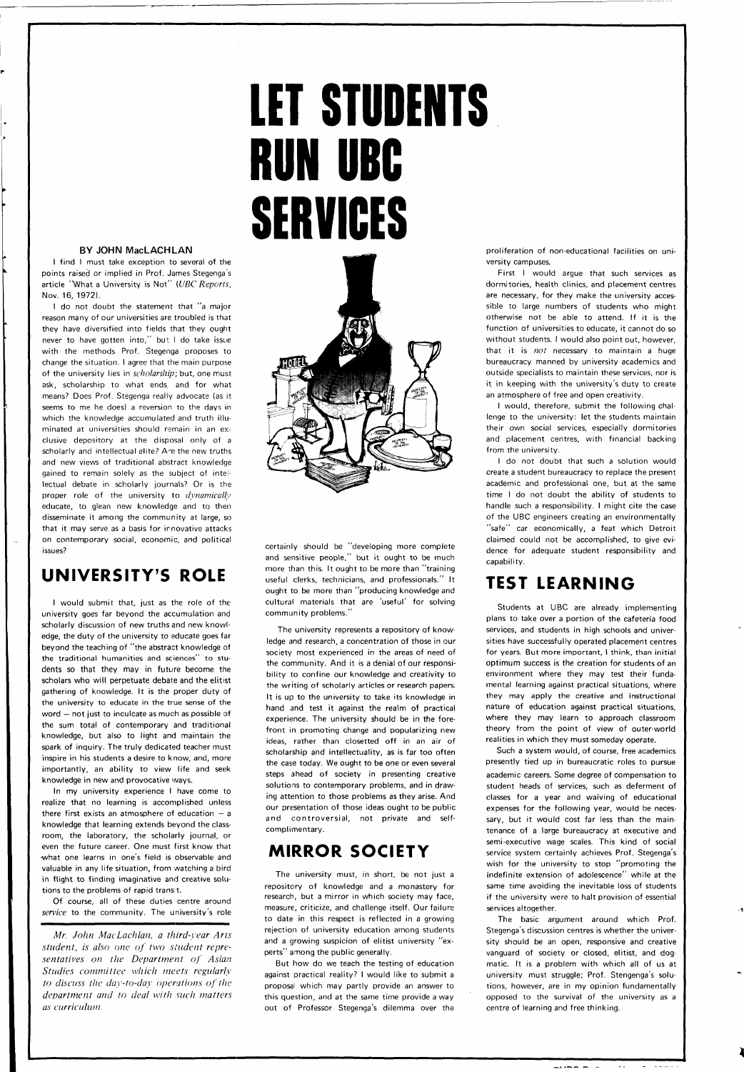#### BY JOHN MacLACHLAN

I find I must take exception to several of the points raised or implied in Prof. James Stegenga's article "What a University is Not" (UBC Reports, Nov. 16, 1972).

I do not doubt the statement that "a major reason many of our universities are troubled is that they have diversified into fields that they ought never to have gotten into," but I do take issue with the methods Prof. Stegenga proposes to change the situation. I agree that the main purpose of the university lies in scholarship; but, one must ask, scholarship to what ends, and for what means? Does Prof. Stegenga really advocate (as it seems to me he does) a reversion to the days in which the knowledge accumulated and truth illuminated at universities should remain in an exclusive depository at the disposal only of a scholarly and intellectual elite? A'e the new truths and new views of traditional abstract knowledge gained to remain solely as the subject of intellectual debate in scholarly journals? Or is the proper role of the university to *dynamically* educate, to glean new knowledge and to then disseminate it among the community at large, so that it may serve as a basis for innovative attacks on contemporary social, economic, and political issues?

### **UNIVERSITY'S ROLE**

Of course, all of these duties centre around service to the community. The university's role

I would submit that, just as the role of the university goes far beyond the accumulation and scholarly discussion of new truths and new knowledge, the duty of the university to educate goes far beyond the teaching of "the abstract knowledge of the traditional humanities and sciences" to students so that they may in future become the scholars who will perpetuate debate and the elitist gathering of knowledge. It is the proper duty of the university to educate in the true sense of the word — not just to inculcate as much as possible of the sum total of contemporary and traditional knowledge, but also to light and maintain the spark of inquiry. The truly dedicated teacher must inspire in his students a desire to know, and, more importantly, an ability to view life and seek knowledge in new and provocative ways.

In my university experience I have come to realize that no learning is accomplished unless there first exists an atmosphere of education  $- a$ knowledge that learning extends beyond the classom, the laboratory, the scholarly journal, or even the future career. One must first know that •what one learns in one's field is observable and valuable in any life situation, from watching a bird in flight to finding imaginative and creative solutions to the problems of rapid transit.

First I would argue that such services as dormitories, health clinics, and placement centres are necessary, for they make the university accessible to large numbers of students who might otherwise not be able to attend. If it is the function of universities to educate, it cannot do so without students. I would also point out, however, that it is not necessary to maintain a huge bureaucracy manned by university academics and outside specialists to maintain these services, nor is it in keeping with the university's duty to create an atmosphere of free and open creativity.

*Mr. John MacLachlan, a third-year Arts student, is also one of two student representatives on the Department of Asian Studies committee which meets regularly to discuss the day-to-day operations of the department and to deal with such matters as curriculum.* 

# **LET STUDENTS RUN UBC SERVICES**



certainly should be "developing more complete and sensitive people," but it ought to be much more than this. It ought to be more than "training useful clerks, technicians, and professionals." It ought to be more than "producing knowledge and cultural materials that are 'useful' for solving community problems."

The university represents a repository of knowledge and research, a concentration of those in our society most experienced in the areas of need of the community. And it is a denial of our responsibility to confine our knowledge and creativity to the writing of scholarly articles or research papers. It is up to the university to take its knowledge in hand and test it against the realm of practical experience. The university should be in the forefront in promoting change and popularizing new ideas, rather than closetted off in an air of scholarship and intellectuality, as is far too often the case today. We ought to be one or even several steps ahead of society in presenting creative solutions to contemporary problems, and in drawing attention to those problems as they arise. And our presentation of those ideas ought to be public and controversial, not private and selfcomplimentary.

## **MIRROR SOCIETY**

The university must, in short, be not just a repository of knowledge and a monastery for research, but a mirror in which society may face, measure, criticize, and challenge itself. Our failure to date in this respect is reflected in a growing rejection of university education among students and a growing suspicion of elitist university "experts" among the public generally.

But how do we teach the testing of education against practical reality? I would like to submit a proposal which may partly provide an answer to this question, and at the same time provide a way out of Professor Stegenga's dilemma over the proliferation of non-educational facilities on university campuses.

I would, therefore, submit the following challenge to the university: let the students maintain their own social services, especially dormitories and placement centres, with financial backing from the university.

I do not doubt that such a solution would create a student bureaucracy to replace the present academic and professional one, but at the same time I do not doubt the ability of students to handle such a responsibility. I might cite the case of the UBC engineers creating an environmentally "safe" car economically, a feat which Detroit claimed could not be accomplished, to give evidence for adequate student responsibility and capability.

## **TEST LEARNING**

Students at UBC are already implementing plans to take over a portion of the cafeteria food services, and students in high schools and universities have successfully operated placement centres for years. But more important, I think, than initial optimum success is the creation for students of an environment where they may test their fundamental learning against practical situations, where they may apply the creative and instructional nature of education against practical situations, where they may learn to approach classroom theory from the point of view of outer-world realities in which they must someday operate.

Such a system would, of course, free academics presently tied up in bureaucratic roles to pursue academic careers. Some degree of compensation to student heads of services, such as deferment of classes for a year and waiving of educational expenses for the following year, would be necessary, but it would cost far less than the maintenance of a large bureaucracy at executive and semi-executive wage scales. This kind of social service system certainly achieves Prof. Stegenga's wish for the university to stop "promoting the indefinite extension of adolescence" while at the same time avoiding the inevitable loss of students if the university were to halt provision of essential services altogether. The basic argument around which Prof. Stegenga's discussion centres is whether the university should be an open, responsive and creative vanguard of society or closed, elitist, and dogmatic. It is a problem with which all of us at university must struggle; Prof. Stengenga's solutions, however, are in my opinion fundamentally opposed to the survival of the university as a centre of learning and free thinking.